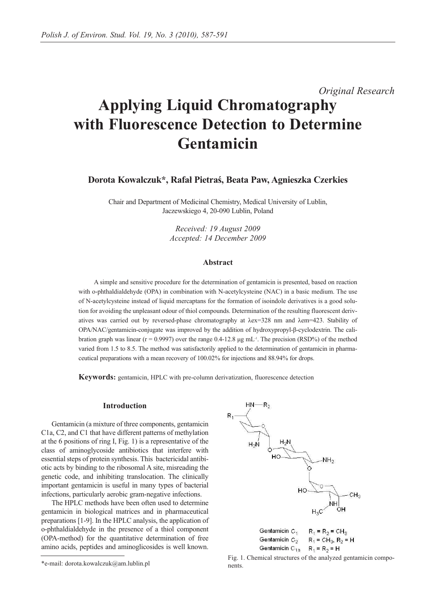*Original Research*

# **Applying Liquid Chromatography with Fluorescence Detection to Determine Gentamicin**

**Dorota Kowalczuk\*, Rafał Pietraś, Beata Paw, Agnieszka Czerkies**

Chair and Department of Medicinal Chemistry, Medical University of Lublin, Jaczewskiego 4, 20-090 Lublin, Poland

> *Received: 19 August 2009 Accepted: 14 December 2009*

#### **Abstract**

A simple and sensitive procedure for the determination of gentamicin is presented, based on reaction with o-phthaldialdehyde (OPA) in combination with N-acetylcysteine (NAC) in a basic medium. The use of N-acetylcysteine instead of liquid mercaptans for the formation of isoindole derivatives is a good solution for avoiding the unpleasant odour of thiol compounds. Determination of the resulting fluorescent derivatives was carried out by reversed-phase chromatography at λex=328 nm and λem=423. Stability of OPA/NAC/gentamicin-conjugate was improved by the addition of hydroxypropyl-β-cyclodextrin. The calibration graph was linear ( $r = 0.9997$ ) over the range 0.4-12.8 µg mL<sup>-1</sup>. The precision (RSD%) of the method varied from 1.5 to 8.5. The method was satisfactorily applied to the determination of gentamicin in pharmaceutical preparations with a mean recovery of 100.02% for injections and 88.94% for drops.

**Keywords:** gentamicin, HPLC with pre-column derivatization, fluorescence detection

## **Introduction**

Gentamicin (a mixture of three components, gentamicin C1a, C2, and C1 that have different patterns of methylation at the 6 positions of ring I, Fig. 1) is a representative of the class of aminoglycoside antibiotics that interfere with essential steps of protein synthesis. This bactericidal antibiotic acts by binding to the ribosomal A site, misreading the genetic code, and inhibiting translocation. The clinically important gentamicin is useful in many types of bacterial infections, particularly aerobic gram-negative infections.

The HPLC methods have been often used to determine gentamicin in biological matrices and in pharmaceutical preparations [1-9]. In the HPLC analysis, the application of o-phthaldialdehyde in the presence of a thiol component (OPA-method) for the quantitative determination of free amino acids, peptides and aminoglicosides is well known.



 $*$ e-mail: dorota.kowalczuk@am.lublin.pl Fig. 1. Chemical structures of the analyzed gentamicin compo-<br> $*$ e-mail: dorota.kowalczuk@am.lublin.pl nents.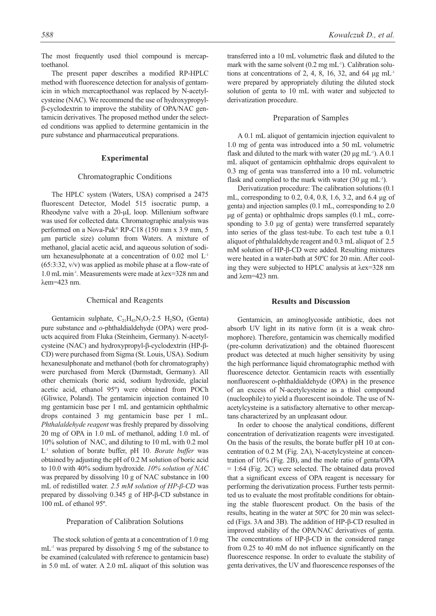The most frequently used thiol compound is mercaptoethanol.

The present paper describes a modified RP-HPLC method with fluorescence detection for analysis of gentamicin in which mercaptoethanol was replaced by N-acetylcysteine (NAC). We recommend the use of hydroxypropylβ-cyclodextrin to improve the stability of OPA/NAC gentamicin derivatives. The proposed method under the selected conditions was applied to determine gentamicin in the pure substance and pharmaceutical preparations.

## **Experimental**

#### Chromatographic Conditions

The HPLC system (Waters, USA) comprised a 2475 fluorescent Detector, Model 515 isocratic pump, a Rheodyne valve with a 20-μL loop. Millenium software was used for collected data. Chromatographic analysis was performed on a Nova-Pak® RP-C18 (150 mm x 3.9 mm, 5 μm particle size) column from Waters. A mixture of methanol, glacial acetic acid, and aqueous solution of sodium hexanesulphonate at a concentration of 0.02 mol L-1 (65:3:32, v/v) was applied as mobile phase at a flow-rate of 1.0 mL min-1. Measurements were made at λex=328 nm and λem=423 nm.

## Chemical and Reagents

Gentamicin sulphate,  $C_{21}H_{43}N_5O_7$ :2.5  $H_2SO_4$  (Genta) pure substance and *o*-phthaldialdehyde (OPA) were products acquired from Fluka (Steinheim, Germany). N-acetylcysteine (NAC) and hydroxypropyl-β-cyclodextrin (HP-β-CD) were purchased from Sigma (St. Louis, USA). Sodium hexanesulphonate and methanol (both for chromatography) were purchased from Merck (Darmstadt, Germany). All other chemicals (boric acid, sodium hydroxide, glacial acetic acid, ethanol 95º) were obtained from POCh (Gliwice, Poland). The gentamicin injection contained 10 mg gentamicin base per 1 mL and gentamicin ophthalmic drops contained 3 mg gentamicin base per 1 mL. *Phthalaldehyde reagent* was freshly prepared by dissolving 20 mg of OPA in 1.0 mL of methanol, adding 1.0 mL of 10% solution of NAC, and diluting to 10 mL with 0.2 mol L-1 solution of borate buffer, pH 10. *Borate buffer* was obtained by adjusting the pH of 0.2 M solution of boric acid to 10.0 with 40% sodium hydroxide. *10% solution of NAC* was prepared by dissolving 10 g of NAC substance in 100 mL of redistilled water. *2.5 mM solution of HP-β-CD* was prepared by dissolving 0.345 g of HP-β-CD substance in 100 mL of ethanol 95º.

#### Preparation of Calibration Solutions

The stock solution of genta at a concentration of 1.0 mg mL-1 was prepared by dissolving 5 mg of the substance to be examined (calculated with reference to gentamicin base) in 5.0 mL of water. A 2.0 mL aliquot of this solution was transferred into a 10 mL volumetric flask and diluted to the mark with the same solvent  $(0.2 \text{ mg mL}^{-1})$ . Calibration solutions at concentrations of 2, 4, 8, 16, 32, and 64  $\mu$ g mL<sup>-1</sup> were prepared by appropriately diluting the diluted stock solution of genta to 10 mL with water and subjected to derivatization procedure.

### Preparation of Samples

A 0.1 mL aliquot of gentamicin injection equivalent to 1.0 mg of genta was introduced into a 50 mL volumetric flask and diluted to the mark with water (20  $\mu$ g mL<sup>-1</sup>). A 0.1 mL aliquot of gentamicin ophthalmic drops equivalent to 0.3 mg of genta was transferred into a 10 mL volumetric flask and complied to the mark with water (30  $\mu$ g mL<sup>-1</sup>).

Derivatization procedure: The calibration solutions (0.1 mL, corresponding to 0.2, 0.4, 0.8, 1.6, 3.2, and 6.4 μg of genta) and injection samples (0.1 mL, corresponding to 2.0 μg of genta) or ophthalmic drops samples (0.1 mL, corresponding to 3.0 μg of genta) were transferred separately into series of the glass test-tube. To each test tube a 0.1 aliquot of phthalaldehyde reagent and 0.3 mL aliquot of 2.5 mM solution of HP-β-CD were added. Resulting mixtures were heated in a water-bath at 50ºC for 20 min. After cooling they were subjected to HPLC analysis at λex=328 nm and λem=423 nm.

#### **Results and Discussion**

Gentamicin, an aminoglycoside antibiotic, does not absorb UV light in its native form (it is a weak chromophore). Therefore, gentamicin was chemically modified (pre-column derivatization) and the obtained fluorescent product was detected at much higher sensitivity by using the high performance liquid chromatographic method with fluorescence detector. Gentamicin reacts with essentially nonfluorescent o-phthaldialdehyde (OPA) in the presence of an excess of N-acetylcysteine as a thiol compound (nucleophile) to yield a fluorescent isoindole. The use of Nacetylcysteine is a satisfactory alternative to other mercaptans characterized by an unpleasant odour.

In order to choose the analytical conditions, different concentration of derivatization reagents were investigated. On the basis of the results, the borate buffer pH 10 at concentration of 0.2 M (Fig. 2A), N-acetylcysteine at concentration of 10% (Fig. 2B), and the mole ratio of genta/OPA  $= 1:64$  (Fig. 2C) were selected. The obtained data proved that a significant excess of OPA reagent is necessary for performing the derivatization process. Further tests permitted us to evaluate the most profitable conditions for obtaining the stable fluorescent product. On the basis of the results, heating in the water at 50ºC for 20 min was selected (Figs. 3A and 3B). The addition of HP-β-CD resulted in improved stability of the OPA/NAC derivatives of genta. The concentrations of HP-β-CD in the considered range from 0.25 to 40 mM do not influence significantly on the fluorescence response. In order to evaluate the stability of genta derivatives, the UV and fluorescence responses of the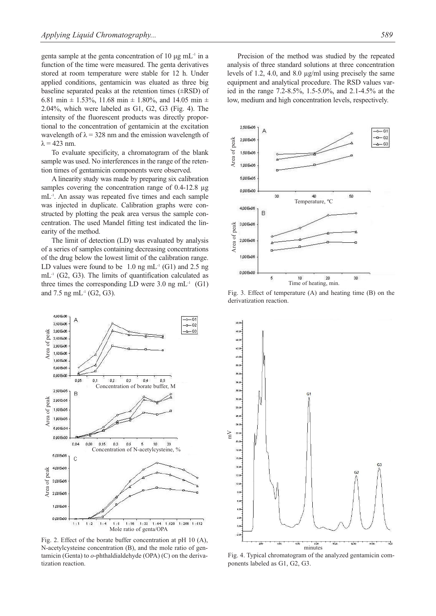genta sample at the genta concentration of 10  $\mu$ g mL<sup>-1</sup> in a function of the time were measured. The genta derivatives stored at room temperature were stable for 12 h. Under applied conditions, gentamicin was eluated as three big baseline separated peaks at the retention times (±RSD) of 6.81 min  $\pm$  1.53%, 11.68 min  $\pm$  1.80%, and 14.05 min  $\pm$ 2.04%, which were labeled as G1, G2, G3 (Fig. 4). The intensity of the fluorescent products was directly proportional to the concentration of gentamicin at the excitation wavelength of  $\lambda = 328$  nm and the emission wavelength of  $\lambda$  = 423 nm.

To evaluate specificity, a chromatogram of the blank sample was used. No interferences in the range of the retention times of gentamicin components were observed.

A linearity study was made by preparing six calibration samples covering the concentration range of 0.4-12.8  $\mu$ g mL-1. An assay was repeated five times and each sample was injected in duplicate. Calibration graphs were constructed by plotting the peak area versus the sample concentration. The used Mandel fitting test indicated the linearity of the method.

The limit of detection (LD) was evaluated by analysis of a series of samples containing decreasing concentrations of the drug below the lowest limit of the calibration range. LD values were found to be  $1.0$  ng mL<sup>-1</sup> (G1) and 2.5 ng mL-1 (G2, G3). The limits of quantification calculated as three times the corresponding LD were  $3.0 \text{ ng } mL^{-1}$  (G1) and 7.5 ng mL $^{-1}$  (G2, G3).



Fig. 2. Effect of the borate buffer concentration at pH 10 (A), N-acetylcysteine concentration (B), and the mole ratio of gentamicin (Genta) to *o*-phthaldialdehyde (OPA) (C) on the derivatization reaction.

Precision of the method was studied by the repeated analysis of three standard solutions at three concentration levels of 1.2, 4.0, and 8.0 µg/ml using precisely the same equipment and analytical procedure. The RSD values varied in the range 7.2-8.5%, 1.5-5.0%, and 2.1-4.5% at the low, medium and high concentration levels, respectively.



Fig. 3. Effect of temperature (A) and heating time (B) on the derivatization reaction.



Fig. 4. Typical chromatogram of the analyzed gentamicin components labeled as G1, G2, G3.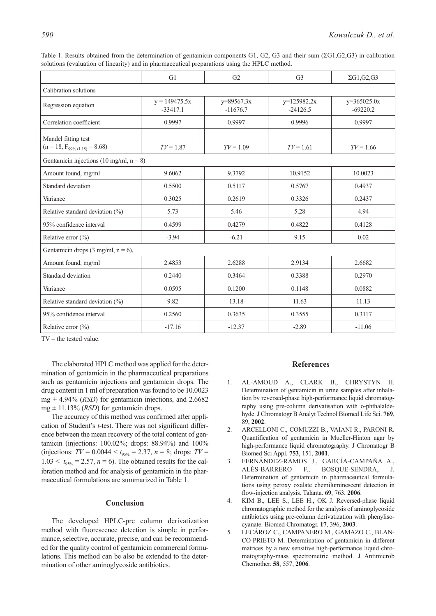|                                                           | G1                            | G <sub>2</sub>             | G <sub>3</sub>              | $\Sigma$ G1,G2,G3           |
|-----------------------------------------------------------|-------------------------------|----------------------------|-----------------------------|-----------------------------|
| Calibration solutions                                     |                               |                            |                             |                             |
| Regression equation                                       | $y = 149475.5x$<br>$-33417.1$ | $y=89567.3x$<br>$-11676.7$ | $y=125982.2x$<br>$-24126.5$ | $y=365025.0x$<br>$-69220.2$ |
| Correlation coefficient                                   | 0.9997                        | 0.9997                     | 0.9996                      | 0.9997                      |
| Mandel fitting test<br>$(n = 18, F_{99\% (1,15)} = 8.68)$ | $TV = 1.87$                   | $TV = 1.09$                | $TV = 1.61$                 | $TV = 1.66$                 |
| Gentamicin injections (10 mg/ml, $n = 8$ )                |                               |                            |                             |                             |
| Amount found, mg/ml                                       | 9.6062                        | 9.3792                     | 10.9152                     | 10.0023                     |
| Standard deviation                                        | 0.5500                        | 0.5117                     | 0.5767                      | 0.4937                      |
| Variance                                                  | 0.3025                        | 0.2619                     | 0.3326                      | 0.2437                      |
| Relative standard deviation $(\%)$                        | 5.73                          | 5.46                       | 5.28                        | 4.94                        |
| 95% confidence interval                                   | 0.4599                        | 0.4279                     | 0.4822                      | 0.4128                      |
| Relative error $(\% )$                                    | $-3.94$                       | $-6.21$                    | 9.15                        | 0.02                        |
| Gentamicin drops (3 mg/ml, $n = 6$ ),                     |                               |                            |                             |                             |
| Amount found, mg/ml                                       | 2.4853                        | 2.6288                     | 2.9134                      | 2.6682                      |
| Standard deviation                                        | 0.2440                        | 0.3464                     | 0.3388                      | 0.2970                      |
| Variance                                                  | 0.0595                        | 0.1200                     | 0.1148                      | 0.0882                      |
| Relative standard deviation (%)                           | 9.82                          | 13.18                      | 11.63                       | 11.13                       |
| 95% confidence interval                                   | 0.2560                        | 0.3635                     | 0.3555                      | 0.3117                      |
| Relative error $(\% )$                                    | $-17.16$                      | $-12.37$                   | $-2.89$                     | $-11.06$                    |

Table 1. Results obtained from the determination of gentamicin components G1, G2, G3 and their sum (ΣG1,G2,G3) in calibration solutions (evaluation of linearity) and in pharmaceutical preparations using the HPLC method.

TV – the tested value.

The elaborated HPLC method was applied for the determination of gentamicin in the pharmaceutical preparations such as gentamicin injections and gentamicin drops. The drug content in 1 ml of preparation was found to be 10.0023 mg  $\pm$  4.94% (*RSD*) for gentamicin injections, and 2.6682  $mg \pm 11.13\%$  (*RSD*) for gentamic n drops.

The accuracy of this method was confirmed after application of Student's *t*-test. There was not significant difference between the mean recovery of the total content of gentamicin (injections: 100.02%; drops: 88.94%) and 100% (injections:  $TV = 0.0044 < t_{95\%} = 2.37$ ,  $n = 8$ ; drops:  $TV =$  $1.03 < t_{95\%} = 2.57$ ,  $n = 6$ ). The obtained results for the calibration method and for analysis of gentamicin in the pharmaceutical formulations are summarized in Table 1.

## **Conclusion**

The developed HPLC-pre column derivatization method with fluorescence detection is simple in performance, selective, accurate, precise, and can be recommended for the quality control of gentamicin commercial formulations. This method can be also be extended to the determination of other aminoglycoside antibiotics.

## **References**

- 1. AL-AMOUD A., CLARK B., CHRYSTYN H. Determination of gentamicin in urine samples after inhalation by reversed-phase high-performance liquid chromatography using pre-column derivatisation with o-phthalaldehyde. J Chromatogr B Analyt Technol Biomed Life Sci. **769**, 89, **2002**.
- 2. ARCELLONI C., COMUZZI B., VAIANI R., PARONI R. Quantification of gentamicin in Mueller-Hinton agar by high-performance liquid chromatography. J Chromatogr B Biomed Sci Appl. **753**, 151, **2001**.
- 3. FERNÁNDEZ-RAMOS J., GARCÍA-CAMPAÑA A., ALÉS-BARRERO F., BOSQUE-SENDRA, J. Determination of gentamicin in pharmaceutical formulations using peroxy oxalate chemiluminescent detection in flow-injection analysis. Talanta. **69**, 763, **2006**.
- 4. KIM B., LEE S., LEE H., OK J. Reversed-phase liquid chromatographic method for the analysis of aminoglycoside antibiotics using pre-column derivatization with phenylisocyanate. Biomed Chromatogr. **17**, 396, **2003**.
- 5. LECÁROZ C., CAMPANERO M., GAMAZO C., BLAN-CO-PRIETO M. Determination of gentamicin in different matrices by a new sensitive high-performance liquid chromatography-mass spectrometric method. J Antimicrob Chemother. **58**, 557, **2006**.